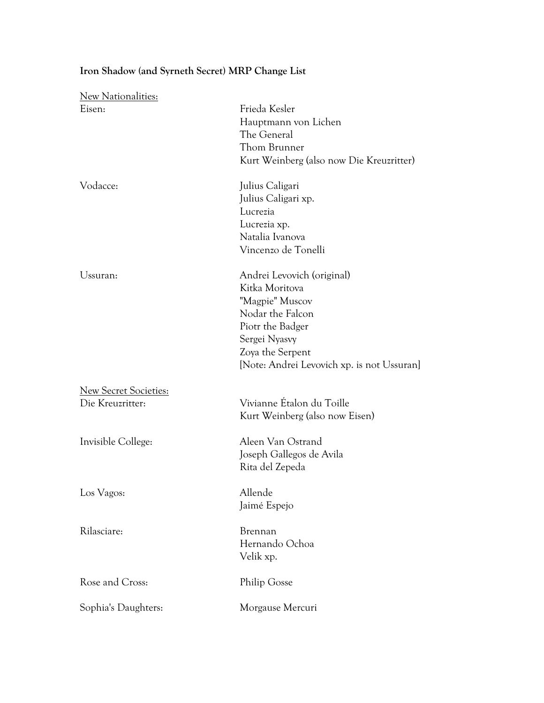## **Iron Shadow (and Syrneth Secret) MRP Change List**

| <b>New Nationalities:</b>                 |                                                                                                                                                                                            |
|-------------------------------------------|--------------------------------------------------------------------------------------------------------------------------------------------------------------------------------------------|
| Eisen:                                    | Frieda Kesler<br>Hauptmann von Lichen<br>The General<br>Thom Brunner<br>Kurt Weinberg (also now Die Kreuzritter)                                                                           |
| Vodacce:                                  | Julius Caligari<br>Julius Caligari xp.<br>Lucrezia<br>Lucrezia xp.<br>Natalia Ivanova<br>Vincenzo de Tonelli                                                                               |
| Ussuran:                                  | Andrei Levovich (original)<br>Kitka Moritova<br>"Magpie" Muscov<br>Nodar the Falcon<br>Piotr the Badger<br>Sergei Nyasvy<br>Zoya the Serpent<br>[Note: Andrei Levovich xp. is not Ussuran] |
| New Secret Societies:<br>Die Kreuzritter: | Vivianne Étalon du Toille<br>Kurt Weinberg (also now Eisen)                                                                                                                                |
| Invisible College:                        | Aleen Van Ostrand<br>Joseph Gallegos de Avila<br>Rita del Zepeda                                                                                                                           |
| Los Vagos:                                | Allende<br>Jaimé Espejo                                                                                                                                                                    |
| Rilasciare:                               | Brennan<br>Hernando Ochoa<br>Velik xp.                                                                                                                                                     |
| Rose and Cross:                           | Philip Gosse                                                                                                                                                                               |
| Sophia's Daughters:                       | Morgause Mercuri                                                                                                                                                                           |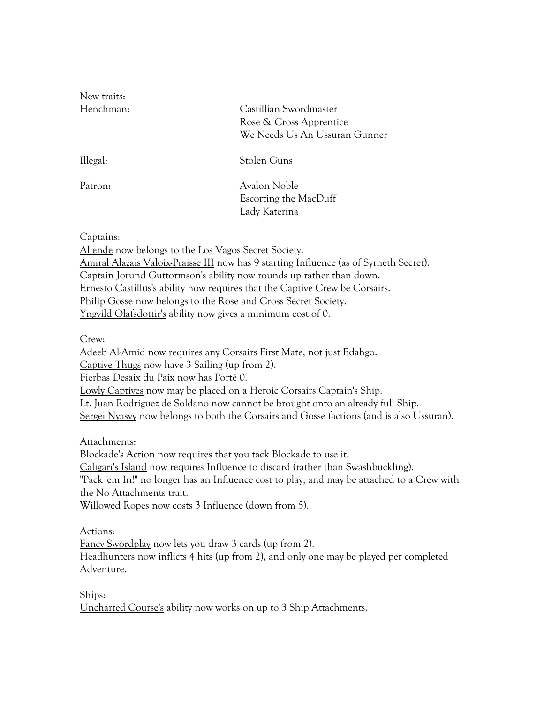New traits:

Henchman: Castillian Swordmaster Rose & Cross Apprentice We Needs Us An Ussuran Gunner

Illegal: Stolen Guns

Patron: Avalon Noble Escorting the MacDuff Lady Katerina

Captains:

Allende now belongs to the Los Vagos Secret Society.

Amiral Alazais Valoix-Praisse III now has 9 starting Influence (as of Syrneth Secret). Captain Jorund Guttormson's ability now rounds up rather than down. Ernesto Castillus's ability now requires that the Captive Crew be Corsairs. Philip Gosse now belongs to the Rose and Cross Secret Society. Yngvild Olafsdottir's ability now gives a minimum cost of 0.

Crew:

Adeeb Al-Amid now requires any Corsairs First Mate, not just Edahgo.

Captive Thugs now have 3 Sailing (up from 2).

Fierbas Desaix du Paix now has Porté 0.

Lowly Captives now may be placed on a Heroic Corsairs Captain's Ship.

Lt. Juan Rodriguez de Soldano now cannot be brought onto an already full Ship.

Sergei Nyasvy now belongs to both the Corsairs and Gosse factions (and is also Ussuran).

Attachments:

Blockade's Action now requires that you tack Blockade to use it.

Caligari's Island now requires Influence to discard (rather than Swashbuckling).

"Pack 'em In!" no longer has an Influence cost to play, and may be attached to a Crew with the No Attachments trait.

Willowed Ropes now costs 3 Influence (down from 5).

Actions:

Fancy Swordplay now lets you draw 3 cards (up from 2).

Headhunters now inflicts 4 hits (up from 2), and only one may be played per completed Adventure.

Ships: Uncharted Course's ability now works on up to 3 Ship Attachments.